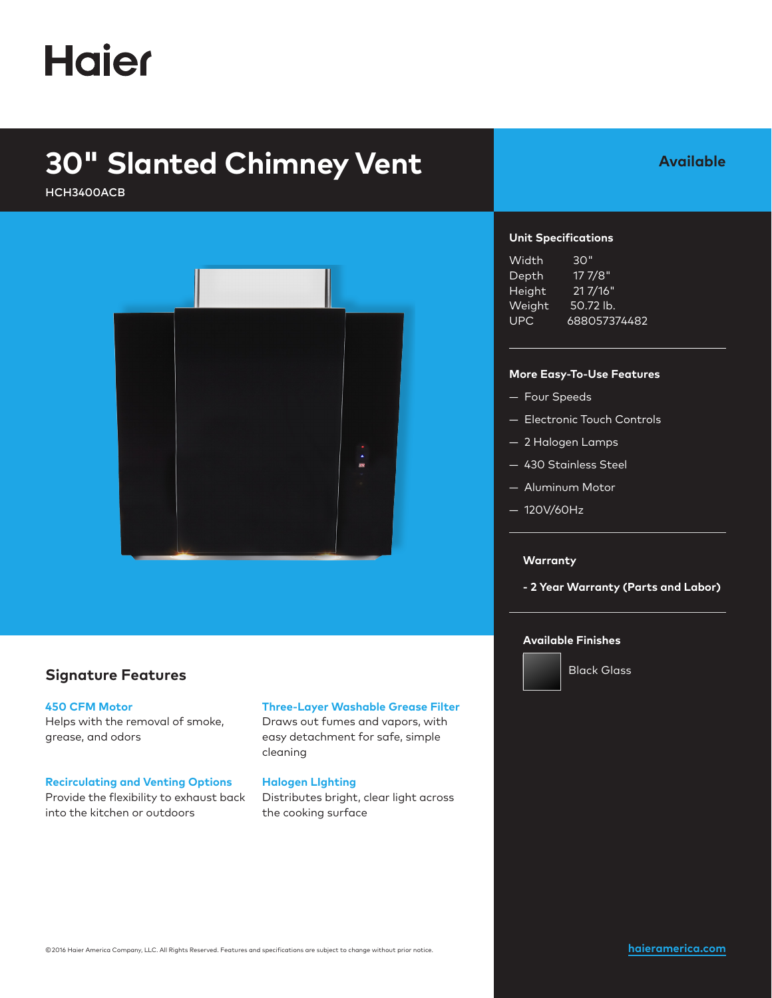# **Haier**

## **30" Slanted Chimney Vent**

HCH3400ACB



### **Signature Features**

#### **450 CFM Motor**

Helps with the removal of smoke, grease, and odors

#### **Recirculating and Venting Options**

Provide the flexibility to exhaust back into the kitchen or outdoors

#### **Three-Layer Washable Grease Filter**

Draws out fumes and vapors, with easy detachment for safe, simple cleaning

#### **Halogen LIghting**

Distributes bright, clear light across the cooking surface

### **Available**

#### **Unit Specifications**

| Width  | 30"          |
|--------|--------------|
| Depth  | 17 7/8"      |
| Height | 21 7/16"     |
| Weight | 50.72 lb.    |
| UPC    | 688057374482 |

#### **More Easy-To-Use Features**

- Four Speeds
- Electronic Touch Controls
- 2 Halogen Lamps
- 430 Stainless Steel
- Aluminum Motor
- 120V/60Hz

#### **Warranty**

**- 2 Year Warranty (Parts and Labor)**

#### **Available Finishes**



Black Glass